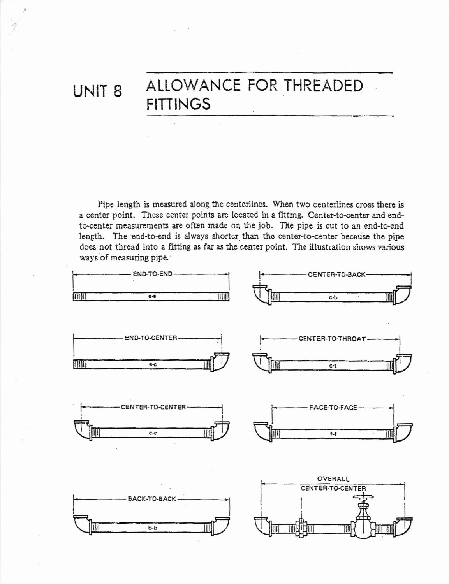## UNIT<sub>8</sub>

## ALLOWANCE FOR THREADED **FITTINGS**

Pipe length is measured along the centerlines. When two centerlines cross there is a center point. These center points are located in a fitting. Center-to-center and endto-center measurements are often made on the job. The pipe is cut to an end-to-end length. The end-to-end is always shorter than the center-to-center because the pipe does not thread into a fitting as far as the center point. The illustration shows various ways of measuring pipe.

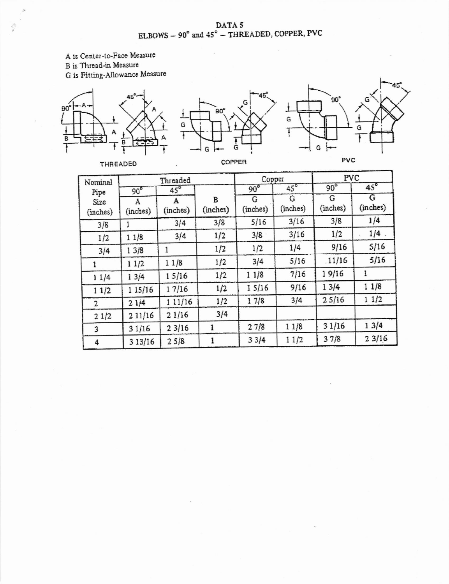$\begin{array}{c} \text{DATA 5}\\ \text{ELBOWS} - 90^\circ \text{ and } 45^\circ - \text{THREADED, COPPER, PVC} \end{array}$ 

A is Center-to-Face Measure

B is Thread-in Measure

 $\hat{C}$ 

G is Fitting-Allowance Measure







THREADED

COPPER

| Nominal<br>Pipe<br>Size<br>(inches) | Threaded        |               |               | Copper        |               | PVC           |               |
|-------------------------------------|-----------------|---------------|---------------|---------------|---------------|---------------|---------------|
|                                     | 90 <sup>o</sup> | $45^{\circ}$  |               | $90^\circ$    | $45^{\circ}$  | $90^{\circ}$  | $45^\circ$    |
|                                     | A<br>(inches)   | A<br>(inches) | В<br>(inches) | G<br>(inches) | G<br>(inches) | G<br>(inches) | G<br>(inches) |
| 3/8                                 |                 | 3/4           | 3/8           | 5/16          | 3/16          | 3/8           | 1/4           |
| 1/2                                 | 11/8            | 3/4           | 1/2           | 3/8           | 3/16          | 1/2           | 1/4           |
| 3/4                                 | 13/8            | 1             | 1/2           | 1/2           | 1/4           | 9/16          | 5/16          |
|                                     | 11/2            | 11/8          | 1/2           | 3/4           | 5/16          | .11/16        | 5/16          |
| 11/4                                | 13/4            | 15/16         | 1/2           | 11/8          | 7/16          | 19/16         | 1             |
| 11/2                                | 1 15/16         | 17/16         | 1/2           | 15/16         | 9/16          | 13/4          | 11/8          |
| 2                                   | 21j4            | 1 1 1 / 16    | 1/2           | 17/8          | 3/4           | 25/16         | 11/2          |
| 21/2                                | 211/16          | 21/16         | 3/4           |               |               |               |               |
| 3                                   | 31/16           | 23/16         |               | 27/8          | 11/8          | 31/16         | 13/4          |
| 4                                   | 3 13/16         | 25/8          |               | 33/4          | 11/2          | 37/8          | 23/16         |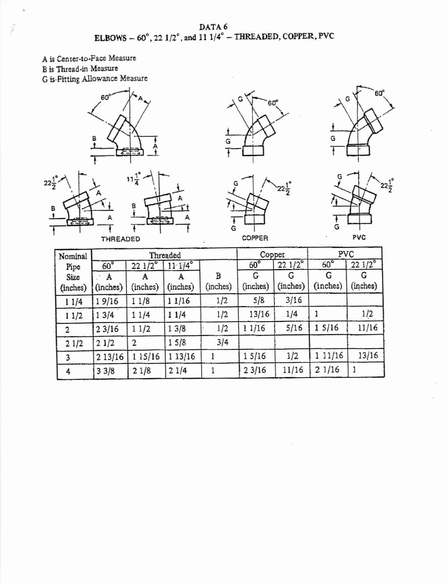$\begin{array}{c} \text{DATA 6}\\ \text{ELBOWS} = 60^\circ, 22\ 1/2^\circ, \text{and } 11\ 1/4^\circ = \text{THREADED, COPPER, PVC} \end{array}$ 

A is Center-to-Face Measure B is Thread-in Measure G is Fitting Allowance Measure

Ş













THREADED

COPPER

PVC

| Nominal  |                 |                 | Threaded     |          | Copper     |                 | PVC        |                 |
|----------|-----------------|-----------------|--------------|----------|------------|-----------------|------------|-----------------|
| Pipe     | 60 <sup>o</sup> | $221/2^{\circ}$ | $11 - 174$ ° |          | $60^\circ$ | $221/2^{\circ}$ | $60^\circ$ | $221/2^{\circ}$ |
| Size     | A               | А               | A            | В        | G          | G               | G          | G               |
| (inches) | (inches)        | (inches)        | (inches)     | (inches) | (inches)   | (inches)        | (inches)   | (inches)        |
| 11/4     | 19/16           | 1/8             | 11/16        | 1/2      | 5/8        | 3/16            |            |                 |
| 11/2     | 3/4             | 11/4            | 11/4         | 1/2      | 13/16      | 1/4             |            | 1/2             |
| 2        | 23/16           | 11/2            | 13/8         | 1/2      | 11/16      | 5/16            | 1 5/16     | 11/16           |
| 21/2     | 21/2            | $\mathbf{2}$    | 15/8         | 3/4      |            |                 |            |                 |
|          | 2 13/16         | 1 1 5 / 1 6     | 1 13/16      |          | 15/16      | 1/2             | 1 11/16    | 13/16           |
| 4        | 33/8            | 21/8            | 21/4         |          | 23/16      | 11/16           | 21/16      |                 |